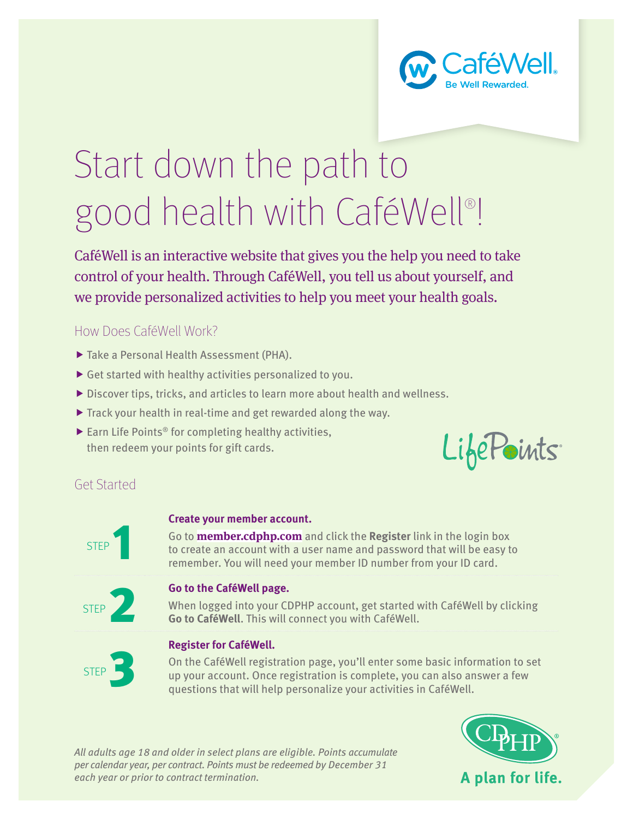

# Start down the path to good health with CaféWell®!

CaféWell is an interactive website that gives you the help you need to take control of your health. Through CaféWell, you tell us about yourself, and we provide personalized activities to help you meet your health goals.

## How Does CaféWell Work?

- $\blacktriangleright$  Take a Personal Health Assessment (PHA).
- $\blacktriangleright$  Get started with healthy activities personalized to you.
- $\triangleright$  Discover tips, tricks, and articles to learn more about health and wellness.
- $\triangleright$  Track your health in real-time and get rewarded along the way.
- $\blacktriangleright$  Earn Life Points<sup>®</sup> for completing healthy activities, then redeem your points for gift cards.



# Get Started

# STEP<sup>1</sup>

## **Create your member account.**

Go to **member.cdphp.com** and click the **Register** link in the login box to create an account with a user name and password that will be easy to remember. You will need your member ID number from your ID card.



**Go to the CaféWell page.**<br>STEP 2 **Go to CaféWell.** This will do the CaféWell. This will do When logged into your CDPHP account, get started with CaféWell by clicking **Go to CaféWell**. This will connect you with CaféWell.



## **Register for CaféWell.**

On the CaféWell registration page, you'll enter some basic information to set up your account. Once registration is complete, you can also answer a few questions that will help personalize your activities in CaféWell.

*All adults age 18 and older in select plans are eligible. Points accumulate per calendar year, per contract. Points must be redeemed by December 31 each year or prior to contract termination.*